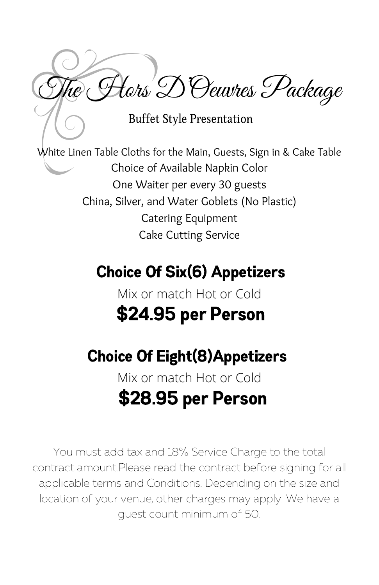The Hors D'Oeuvres Package

Buffet Style Presentation

White Linen Table Cloths for the Main, Guests, Sign in & Cake Table Choice of Available Napkin Color One Waiter per every 30 guests China, Silver, and Water Goblets (No Plastic) Catering Equipment Cake Cutting Service

# Choice Of Six(6) Appetizers

## Mix or match Hot or Cold \$24.95 per Person

## Choice Of Eight(8)Appetizers

## Mix or match Hot or Cold \$28.95 per Person

You must add tax and 18% Service Charge to the total contract amount.Please read the contract before signing for all applicable terms and Conditions. Depending on the size and location of your venue, other charges may apply. We have a guest count minimum of 50.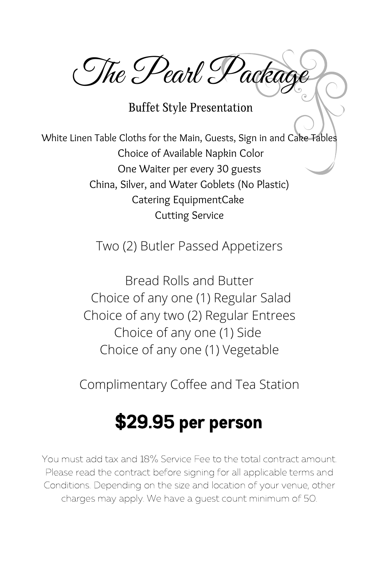The Pearl Packag

Buffet Style Presentation

White Linen Table Cloths for the Main, Guests, Sign in and Cake Tables Choice of Available Napkin Color One Waiter per every 30 guests China, Silver, and Water Goblets (No Plastic) Catering EquipmentCake Cutting Service

Two (2) Butler Passed Appetizers

Bread Rolls and Butter Choice of any one (1) Regular Salad Choice of any two (2) Regular Entrees Choice of any one (1) Side Choice of any one (1) Vegetable

Complimentary Coffee and Tea Station

## \$29.95 per person

You must add tax and 18% Service Fee to the total contract amount. Please read the contract before signing for all applicable terms and Conditions. Depending on the size and location of your venue, other charges may apply. We have a guest count minimum of 50.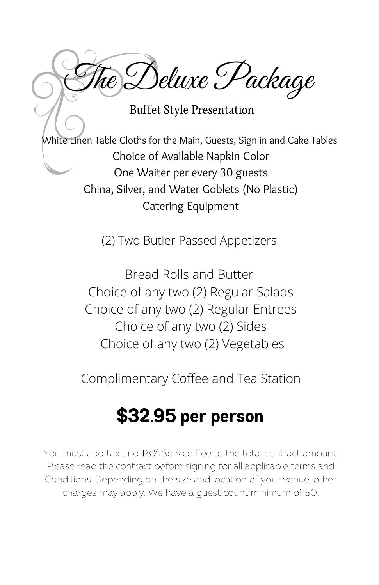Deluxe Package

Buffet Style Presentation

White Linen Table Cloths for the Main, Guests, Sign in and Cake Tables Choice of Available Napkin Color One Waiter per every 30 guests China, Silver, and Water Goblets (No Plastic) Catering Equipment

(2) Two Butler Passed Appetizers

Bread Rolls and Butter Choice of any two (2) Regular Salads Choice of any two (2) Regular Entrees Choice of any two (2) Sides Choice of any two (2) Vegetables

Complimentary Coffee and Tea Station

## \$32.95 per person

You must add tax and 18% Service Fee to the total contract amount. Please read the contract before signing for all applicable terms and Conditions. Depending on the size and location of your venue, other charges may apply. We have a guest count minimum of 50.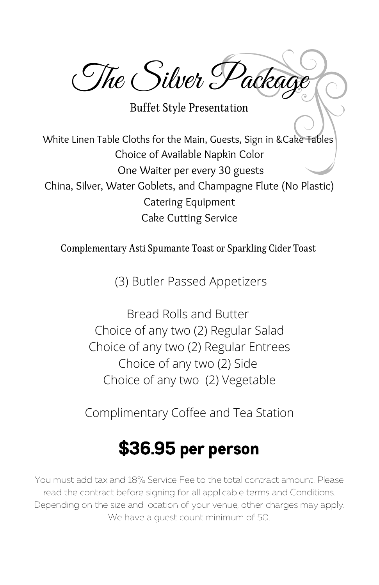The Silver Package

Buffet Style Presentation

White Linen Table Cloths for the Main, Guests, Sign in &Cake Tables Choice of Available Napkin Color One Waiter per every 30 guests China, Silver, Water Goblets, and Champagne Flute (No Plastic) Catering Equipment Cake Cutting Service

Complementary Asti Spumante Toast or Sparkling Cider Toast

(3) Butler Passed Appetizers

Bread Rolls and Butter Choice of any two (2) Regular Salad Choice of any two (2) Regular Entrees Choice of any two (2) Side Choice of any two (2) Vegetable

Complimentary Coffee and Tea Station

## \$36.95 per person

You must add tax and 18% Service Fee to the total contract amount. Please read the contract before signing for all applicable terms and Conditions. Depending on the size and location of your venue, other charges may apply. We have a guest count minimum of 50.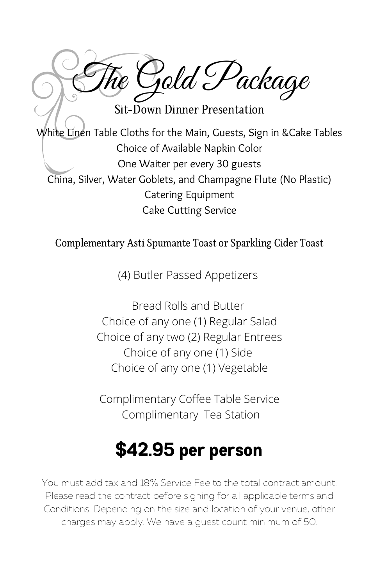The Gold Package

Sit-Down Dinner Presentation

White Linen Table Cloths for the Main, Guests, Sign in &Cake Tables Choice of Available Napkin Color One Waiter per every 30 guests China, Silver, Water Goblets, and Champagne Flute (No Plastic) Catering Equipment Cake Cutting Service

#### Complementary Asti Spumante Toast or Sparkling Cider Toast

(4) Butler Passed Appetizers

Bread Rolls and Butter Choice of any one (1) Regular Salad Choice of any two (2) Regular Entrees Choice of any one (1) Side Choice of any one (1) Vegetable

Complimentary Coffee Table Service Complimentary Tea Station

# \$42.95 per person

You must add tax and 18% Service Fee to the total contract amount. Please read the contract before signing for all applicable terms and Conditions. Depending on the size and location of your venue, other charges may apply. We have a guest count minimum of 50.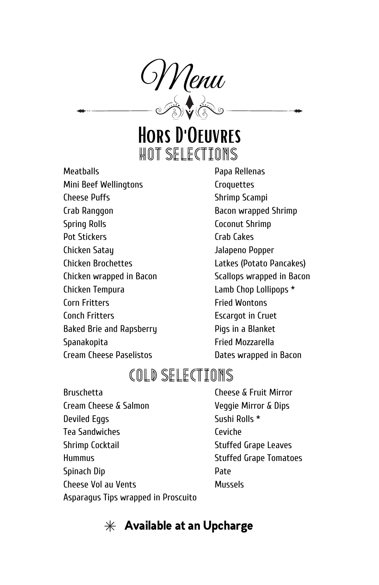

## Hors D'Oeuvres Hot Selections

**Meatballs** Mini Beef Wellingtons Cheese Puffs Crab Ranggon Spring Rolls Pot Stickers Chicken Satay Chicken Brochettes Chicken wrapped in Bacon Chicken Tempura Corn Fritters Conch Fritters Baked Brie and Rapsberry Spanakopita

Cream Cheese Paselistos

Papa Rellenas **Croquettes** Shrimp Scampi Bacon wrapped Shrimp Coconut Shrimp Crab Cakes Jalapeno Popper Latkes (Potato Pancakes) Scallops wrapped in Bacon Lamb Chop Lollipops \* Fried Wontons Escargot in Cruet Pigs in a Blanket Fried Mozzarella Dates wrapped in Bacon

#### Cold selections

Bruschetta Cream Cheese & Salmon Deviled Eggs Tea Sandwiches Shrimp Cocktail Hummus Spinach Dip Cheese Vol au Vents

Cheese & Fruit Mirror Veggie Mirror & Dips Sushi Rolls \* Ceviche Stuffed Grape Leaves Stuffed Grape Tomatoes Pate Mussels

Asparagus Tips wrapped in Proscuito

#### $*$  Available at an Upcharge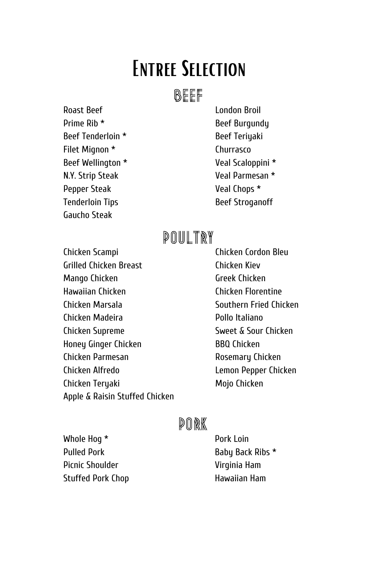# Entree Selection

#### **BEEF**

Roast Beef Prime Rib \* Beef Tenderloin \* Filet Mignon \* Beef Wellington \* N.Y. Strip Steak Pepper Steak Tenderloin Tips Gaucho Steak

London Broil Beef Burgundy Beef Teriyaki Churrasco Veal Scaloppini \* Veal Parmesan \* Veal Chops \* Beef Stroganoff

### **POULTRY**

Chicken Scampi Grilled Chicken Breast Mango Chicken Hawaiian Chicken Chicken Marsala Chicken Madeira Chicken Supreme Honey Ginger Chicken Chicken Parmesan Chicken Alfredo Chicken Teryaki Apple & Raisin Stuffed Chicken

Chicken Cordon Bleu Chicken Kiev Greek Chicken Chicken Florentine Southern Fried Chicken Pollo Italiano Sweet & Sour Chicken BBQ Chicken Rosemary Chicken Lemon Pepper Chicken Mojo Chicken

#### Pork

Whole Hog \* Pulled Pork Picnic Shoulder Stuffed Pork Chop Pork Loin Baby Back Ribs \* Virginia Ham Hawaiian Ham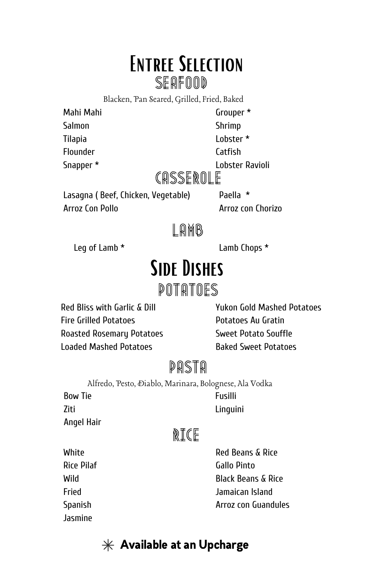# Entree Selection

SEAFOOD

Blacken, Pan Seared, Grilled, Fried, Baked

Mahi Mahi Salmon Tilapia Flounder

Snapper \*

Grouper \*

Shrimp

Lobster \*

Catfish

Lobster Ravioli

### CASSEROLE

Lasagna ( Beef, Chicken, Vegetable) Arroz Con Pollo

Paella \* Arroz con Chorizo

#### LAMB

Leg of Lamb \* Lamb Chops \*

# Side Dishes

#### Potatoes

Red Bliss with Garlic & Dill Fire Grilled Potatoes Roasted Rosemary Potatoes Loaded Mashed Potatoes

Yukon Gold Mashed Potatoes Potatoes Au Gratin Sweet Potato Souffle Baked Sweet Potatoes

### Pasta

Bow Tie Fusilli Alfredo, Pesto, Diablo, Marinara, Bolognese, Ala Vodka

Ziti Angel Hair Linguini

### Rice

**White** Rice Pilaf Wild Fried Spanish Jasmine

Red Beans & Rice Gallo Pinto Black Beans & Rice Jamaican Island Arroz con Guandules

 $*$  Available at an Upcharge